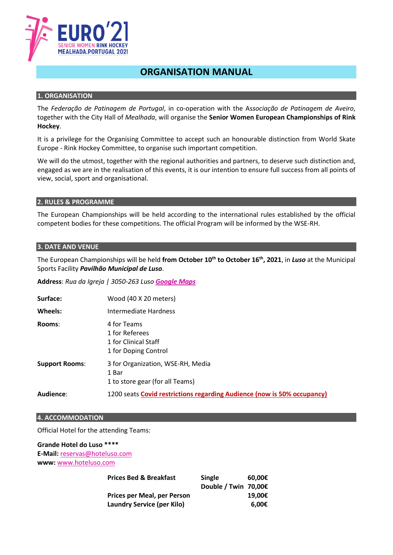

# **ORGANISATION MANUAL**

## **1. ORGANISATION**

The *Federação de Patinagem de Portugal*, in co-operation with the As*sociação de Patinagem de Aveiro*, together with the City Hall of *Mealhada*, will organise the **Senior Women European Championships of Rink Hockey**.

It is a privilege for the Organising Committee to accept such an honourable distinction from World Skate Europe - Rink Hockey Committee, to organise such important competition.

We will do the utmost, together with the regional authorities and partners, to deserve such distinction and, engaged as we are in the realisation of this events, it is our intention to ensure full success from all points of view, social, sport and organisational.

## **2. RULES & PROGRAMME**

The European Championships will be held according to the international rules established by the official competent bodies for these competitions. The official Program will be informed by the WSE-RH.

#### **3. DATE AND VENUE**

The European Championships will be held **from October 10th to October 16th, 2021**, in *Luso* at the Municipal Sports Facility *Pavilhão Municipal de Luso*.

**Address**: *Rua da Igreja | 3050-263 Luso [Google Maps](https://goo.gl/maps/UY4PXi2toKB4TqRNA)*

| Surface:              | Wood (40 X 20 meters)                                                         |  |
|-----------------------|-------------------------------------------------------------------------------|--|
| Wheels:               | Intermediate Hardness                                                         |  |
| Rooms:                | 4 for Teams<br>1 for Referees<br>1 for Clinical Staff<br>1 for Doping Control |  |
| <b>Support Rooms:</b> | 3 for Organization, WSE-RH, Media<br>1 Bar<br>1 to store gear (for all Teams) |  |
| Audience:             | 1200 seats Covid restrictions regarding Audience (now is 50% occupancy)       |  |

#### **4. ACCOMMODATION**

Official Hotel for the attending Teams:

# **Grande Hotel do Luso \*\*\*\* E-Mail:** [reservas@hoteluso.com](mailto:reservas@hoteluso.com) **www:** [www.hoteluso.com](http://www.hoteluso.com/)

| <b>Single</b> | 60.00€               |
|---------------|----------------------|
|               |                      |
|               | 19.00€               |
|               | 6.00€                |
|               | Double / Twin 70,00€ |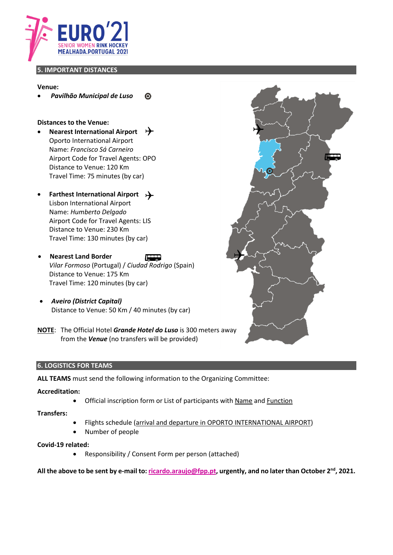

## **5. IMPORTANT DISTANCES**

#### **Venue:**

• *Pavilhão Municipal de Luso*  $\bullet$ 

#### **Distances to the Venue:**

- **Nearest International Airport**  $\rightarrow$ Oporto International Airport Name: *Francisco Sá Carneiro* Airport Code for Travel Agents: OPO Distance to Venue: 120 Km Travel Time: 75 minutes (by car)
- **Farthest International Airport** Lisbon International Airport Name: *Humberto Delgado* Airport Code for Travel Agents: LIS Distance to Venue: 230 Km Travel Time: 130 minutes (by car)
- **Nearest Land Border** *Vilar Formoso* (Portugal) / *Ciudad Rodrigo* (Spain) Distance to Venue: 175 Km Travel Time: 120 minutes (by car)
- *Aveiro (District Capital)* Distance to Venue: 50 Km / 40 minutes (by car)
- **NOTE**: The Official Hotel *Grande Hotel do Luso* is 300 meters away from the *Venue* (no transfers will be provided)

#### **6. LOGISTICS FOR TEAMS**

**ALL TEAMS** must send the following information to the Organizing Committee:

## **Accreditation:**

• Official inscription form or List of participants with Name and Function

## **Transfers:**

- Flights schedule (arrival and departure in OPORTO INTERNATIONAL AIRPORT)
- Number of people

#### **Covid-19 related:**

• Responsibility / Consent Form per person (attached)

**All the above to be sent by e-mail to: [ricardo.araujo@fpp.pt,](mailto:ricardo.araujo@fpp.pt) urgently, and no later than October 2nd, 2021.**